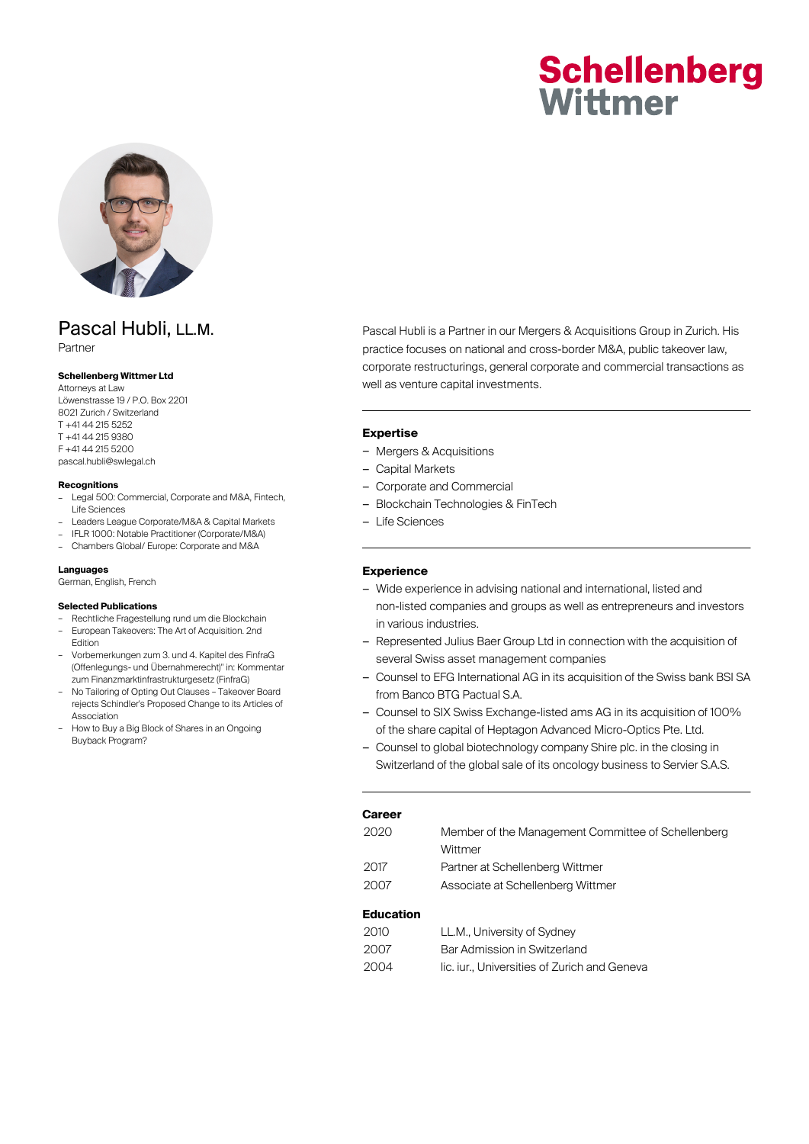# **Schellenberg** Wittmer



# Pascal Hubli, LL.M.

Partner

# **Schellenberg Wittmer Ltd**

Attorneys at Law Löwenstrasse 19 / P.O. Box 2201 8021 Zurich / Switzerland T +41 44 215 5252 T +41 44 215 9380 F +41 44 215 5200 pascal.hubli@swlegal.ch

#### **Recognitions**

- Legal 500: Commercial, Corporate and M&A, Fintech, Life Sciences
- Leaders League Corporate/M&A & Capital Markets
- IFLR 1000: Notable Practitioner (Corporate/M&A)
- Chambers Global/ Europe: Corporate and M&A

#### **Languages**

German, English, French

#### **Selected Publications**

- Rechtliche Fragestellung rund um die Blockchain – European Takeovers: The Art of Acquisition. 2nd
- Edition – Vorbemerkungen zum 3. und 4. Kapitel des FinfraG (Offenlegungs- und Übernahmerecht)" in: Kommentar zum Finanzmarktinfrastrukturgesetz (FinfraG)
- No Tailoring of Opting Out Clauses Takeover Board rejects Schindler's Proposed Change to its Articles of Association
- How to Buy a Big Block of Shares in an Ongoing Buyback Program?

Pascal Hubli is a Partner in our Mergers & Acquisitions Group in Zurich. His practice focuses on national and cross-border M&A, public takeover law, corporate restructurings, general corporate and commercial transactions as well as venture capital investments.

#### **Expertise**

- Mergers & Acquisitions
- Capital Markets
- Corporate and Commercial
- Blockchain Technologies & FinTech
- Life Sciences

#### **Experience**

- Wide experience in advising national and international, listed and non-listed companies and groups as well as entrepreneurs and investors in various industries.
- Represented Julius Baer Group Ltd in connection with the acquisition of several Swiss asset management companies
- Counsel to EFG International AG in its acquisition of the Swiss bank BSI SA from Banco BTG Pactual S.A.
- Counsel to SIX Swiss Exchange-listed ams AG in its acquisition of 100% of the share capital of Heptagon Advanced Micro-Optics Pte. Ltd.
- Counsel to global biotechnology company Shire plc. in the closing in Switzerland of the global sale of its oncology business to Servier S.A.S.

| Career |  |  |  |  |
|--------|--|--|--|--|
|        |  |  |  |  |

| 2020 | Member of the Management Committee of Schellenberg |  |  |  |  |
|------|----------------------------------------------------|--|--|--|--|
|      | Wittmer                                            |  |  |  |  |
| 2017 | Partner at Schellenberg Wittmer                    |  |  |  |  |
| 2007 | Associate at Schellenberg Wittmer                  |  |  |  |  |
|      |                                                    |  |  |  |  |

### **Education**

| 2010. | LL.M., University of Sydney                |
|-------|--------------------------------------------|
| 2007  | Bar Admission in Switzerland               |
| 2004  | lic. jur Universities of Zurich and Geneva |